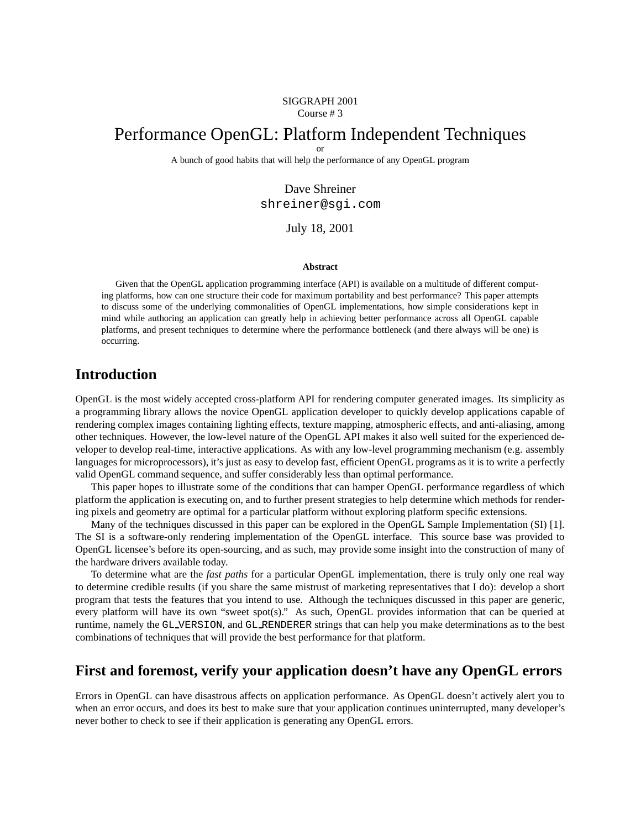### SIGGRAPH 2001

Course # 3

# Performance OpenGL: Platform Independent Techniques

or

A bunch of good habits that will help the performance of any OpenGL program

### Dave Shreiner

shreiner@sgi.com

July 18, 2001

#### **Abstract**

Given that the OpenGL application programming interface (API) is available on a multitude of different computing platforms, how can one structure their code for maximum portability and best performance? This paper attempts to discuss some of the underlying commonalities of OpenGL implementations, how simple considerations kept in mind while authoring an application can greatly help in achieving better performance across all OpenGL capable platforms, and present techniques to determine where the performance bottleneck (and there always will be one) is occurring.

## **Introduction**

OpenGL is the most widely accepted cross-platform API for rendering computer generated images. Its simplicity as a programming library allows the novice OpenGL application developer to quickly develop applications capable of rendering complex images containing lighting effects, texture mapping, atmospheric effects, and anti-aliasing, among other techniques. However, the low-level nature of the OpenGL API makes it also well suited for the experienced developer to develop real-time, interactive applications. As with any low-level programming mechanism (e.g. assembly languages for microprocessors), it's just as easy to develop fast, efficient OpenGL programs as it is to write a perfectly valid OpenGL command sequence, and suffer considerably less than optimal performance.

This paper hopes to illustrate some of the conditions that can hamper OpenGL performance regardless of which platform the application is executing on, and to further present strategies to help determine which methods for rendering pixels and geometry are optimal for a particular platform without exploring platform specific extensions.

Many of the techniques discussed in this paper can be explored in the OpenGL Sample Implementation (SI) [1]. The SI is a software-only rendering implementation of the OpenGL interface. This source base was provided to OpenGL licensee's before its open-sourcing, and as such, may provide some insight into the construction of many of the hardware drivers available today.

To determine what are the *fast paths* for a particular OpenGL implementation, there is truly only one real way to determine credible results (if you share the same mistrust of marketing representatives that I do): develop a short program that tests the features that you intend to use. Although the techniques discussed in this paper are generic, every platform will have its own "sweet spot(s)." As such, OpenGL provides information that can be queried at runtime, namely the GL VERSION, and GL RENDERER strings that can help you make determinations as to the best combinations of techniques that will provide the best performance for that platform.

## **First and foremost, verify your application doesn't have any OpenGL errors**

Errors in OpenGL can have disastrous affects on application performance. As OpenGL doesn't actively alert you to when an error occurs, and does its best to make sure that your application continues uninterrupted, many developer's never bother to check to see if their application is generating any OpenGL errors.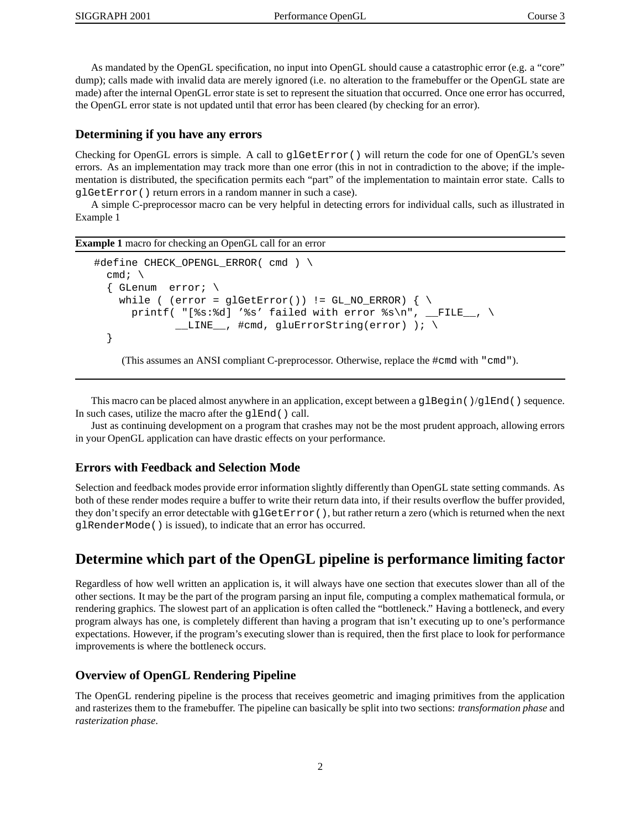As mandated by the OpenGL specification, no input into OpenGL should cause a catastrophic error (e.g. a "core" dump); calls made with invalid data are merely ignored (i.e. no alteration to the framebuffer or the OpenGL state are made) after the internal OpenGL error state is set to represent the situation that occurred. Once one error has occurred, the OpenGL error state is not updated until that error has been cleared (by checking for an error).

#### **Determining if you have any errors**

Checking for OpenGL errors is simple. A call to glGetError() will return the code for one of OpenGL's seven errors. As an implementation may track more than one error (this in not in contradiction to the above; if the implementation is distributed, the specification permits each "part" of the implementation to maintain error state. Calls to glGetError() return errors in a random manner in such a case).

A simple C-preprocessor macro can be very helpful in detecting errors for individual calls, such as illustrated in Example 1

**Example 1** macro for checking an OpenGL call for an error

```
#define CHECK OPENGL ERROR( cmd ) \
  cmd; \langle{ GLenum error; \
    while ( (error = glGetError()) != GL_NO_ERROR) \{\ \ \ \ \printf( "[%s:%d] '%s' failed with error %s\n", __FILE__, \
               \_LINE\_, #cmd, gluErrorString(error) ); \setminus}
```
(This assumes an ANSI compliant C-preprocessor. Otherwise, replace the #cmd with "cmd").

This macro can be placed almost anywhere in an application, except between a glBegin()/glEnd() sequence. In such cases, utilize the macro after the glEnd() call.

Just as continuing development on a program that crashes may not be the most prudent approach, allowing errors in your OpenGL application can have drastic effects on your performance.

#### **Errors with Feedback and Selection Mode**

Selection and feedback modes provide error information slightly differently than OpenGL state setting commands. As both of these render modes require a buffer to write their return data into, if their results overflow the buffer provided, they don't specify an error detectable with glGetError(), but rather return a zero (which is returned when the next glRenderMode() is issued), to indicate that an error has occurred.

## **Determine which part of the OpenGL pipeline is performance limiting factor**

Regardless of how well written an application is, it will always have one section that executes slower than all of the other sections. It may be the part of the program parsing an input file, computing a complex mathematical formula, or rendering graphics. The slowest part of an application is often called the "bottleneck." Having a bottleneck, and every program always has one, is completely different than having a program that isn't executing up to one's performance expectations. However, if the program's executing slower than is required, then the first place to look for performance improvements is where the bottleneck occurs.

### **Overview of OpenGL Rendering Pipeline**

The OpenGL rendering pipeline is the process that receives geometric and imaging primitives from the application and rasterizes them to the framebuffer. The pipeline can basically be split into two sections: *transformation phase* and *rasterization phase*.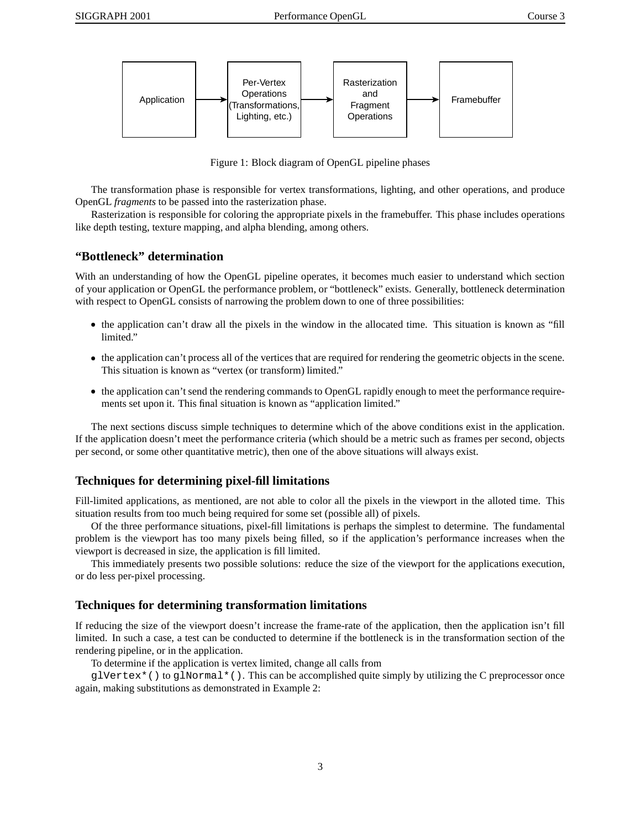

Figure 1: Block diagram of OpenGL pipeline phases

The transformation phase is responsible for vertex transformations, lighting, and other operations, and produce OpenGL *fragments* to be passed into the rasterization phase.

Rasterization is responsible for coloring the appropriate pixels in the framebuffer. This phase includes operations like depth testing, texture mapping, and alpha blending, among others.

### **"Bottleneck" determination**

With an understanding of how the OpenGL pipeline operates, it becomes much easier to understand which section of your application or OpenGL the performance problem, or "bottleneck" exists. Generally, bottleneck determination with respect to OpenGL consists of narrowing the problem down to one of three possibilities:

- the application can't draw all the pixels in the window in the allocated time. This situation is known as "fill limited."
- the application can't process all of the vertices that are required for rendering the geometric objects in the scene. This situation is known as "vertex (or transform) limited."
- the application can't send the rendering commands to OpenGL rapidly enough to meet the performance requirements set upon it. This final situation is known as "application limited."

The next sections discuss simple techniques to determine which of the above conditions exist in the application. If the application doesn't meet the performance criteria (which should be a metric such as frames per second, objects per second, or some other quantitative metric), then one of the above situations will always exist.

### **Techniques for determining pixel-fill limitations**

Fill-limited applications, as mentioned, are not able to color all the pixels in the viewport in the alloted time. This situation results from too much being required for some set (possible all) of pixels.

Of the three performance situations, pixel-fill limitations is perhaps the simplest to determine. The fundamental problem is the viewport has too many pixels being filled, so if the application's performance increases when the viewport is decreased in size, the application is fill limited.

This immediately presents two possible solutions: reduce the size of the viewport for the applications execution, or do less per-pixel processing.

### **Techniques for determining transformation limitations**

If reducing the size of the viewport doesn't increase the frame-rate of the application, then the application isn't fill limited. In such a case, a test can be conducted to determine if the bottleneck is in the transformation section of the rendering pipeline, or in the application.

To determine if the application is vertex limited, change all calls from

 $g$ lVertex\*() to glNormal\*(). This can be accomplished quite simply by utilizing the C preprocessor once again, making substitutions as demonstrated in Example 2: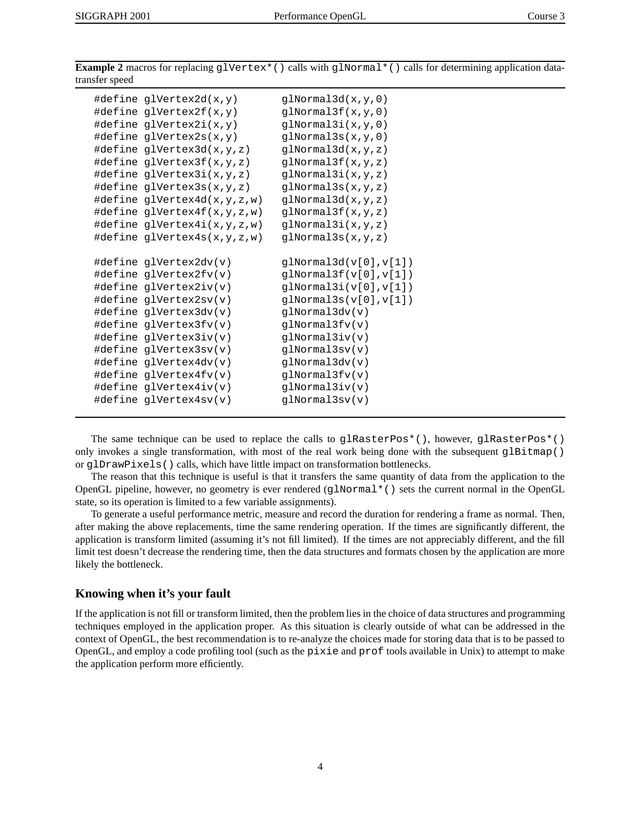|  | #define qlVertex2d(x,y)<br>#define glVertex2f(x,y)<br>#define glVertex2i(x,y)<br>#define glVertex2s(x,y)<br>#define glVertex3d(x,y,z)<br>#define glVertex3f(x,y,z)<br>#define glVertex3i(x,y,z)<br>#define glVertex3s(x,y,z)<br>#define glVertex4d(x,y,z,w)<br>#define glVertex4f(x,y,z,w)<br>#define glVertex4i(x,y,z,w)<br>#define glVertex4s $(x,y,z,w)$ | qNormal3d(x,y,0)<br>$g1$ Norma $13f(x,y,0)$<br>glNormal3i(x,y,0)<br>glNormal3s(x,y,0)<br>glNormal3d(x,y,z)<br>glNormal3f(x,y,z)<br>glNormal3i(x,y,z)<br>glNormal3s(x,y,z)<br>glNormal3d(x,y,z)<br>glNormal3f(x,y,z)<br>glNormal3i(x,y,z)<br>glNormal3s(x,y,z) |
|--|-------------------------------------------------------------------------------------------------------------------------------------------------------------------------------------------------------------------------------------------------------------------------------------------------------------------------------------------------------------|---------------------------------------------------------------------------------------------------------------------------------------------------------------------------------------------------------------------------------------------------------------|
|  | #define glVertex2dv(v)<br>#define glVertex2fv(v)                                                                                                                                                                                                                                                                                                            | glNormal3d(v[0], v[1])<br>glNormal3f(v[0], v[1])                                                                                                                                                                                                              |
|  | #define glVertex2iv(v)                                                                                                                                                                                                                                                                                                                                      | glNormal3i(v[0], v[1])                                                                                                                                                                                                                                        |
|  | #define glVertex2sv(v)                                                                                                                                                                                                                                                                                                                                      | glNormal3s $(v[0], v[1])$                                                                                                                                                                                                                                     |
|  | #define glVertex3dv(v)                                                                                                                                                                                                                                                                                                                                      | glNormal3dv(v)                                                                                                                                                                                                                                                |
|  | #define glVertex3fv(v)                                                                                                                                                                                                                                                                                                                                      | glNormal3fv(v)                                                                                                                                                                                                                                                |
|  | #define glVertex3iv(v)                                                                                                                                                                                                                                                                                                                                      | glNormal3iv(v)                                                                                                                                                                                                                                                |
|  | #define glVertex3sv(v)                                                                                                                                                                                                                                                                                                                                      | glNormal3sv(v)                                                                                                                                                                                                                                                |
|  | #define glVertex4dv(v)                                                                                                                                                                                                                                                                                                                                      | glNormal3dv(v)                                                                                                                                                                                                                                                |
|  | #define glVertex4fv(v)                                                                                                                                                                                                                                                                                                                                      | glNormal3fv(v)                                                                                                                                                                                                                                                |
|  | #define qlVertex4iv(v)                                                                                                                                                                                                                                                                                                                                      | glNormal3iv(v)                                                                                                                                                                                                                                                |

#define glVertex4sv(v) glNormal3sv(v)

**Example 2** macros for replacing glVertex<sup>\*</sup>() calls with glNormal<sup>\*</sup>() calls for determining application datatransfer speed

The same technique can be used to replace the calls to  $g1$ RasterPos<sup>\*</sup>(), however,  $g1$ RasterPos<sup>\*</sup>() only invokes a single transformation, with most of the real work being done with the subsequent glBitmap() or glDrawPixels() calls, which have little impact on transformation bottlenecks.

The reason that this technique is useful is that it transfers the same quantity of data from the application to the OpenGL pipeline, however, no geometry is ever rendered (glNormal\*() sets the current normal in the OpenGL state, so its operation is limited to a few variable assignments).

To generate a useful performance metric, measure and record the duration for rendering a frame as normal. Then, after making the above replacements, time the same rendering operation. If the times are significantly different, the application is transform limited (assuming it's not fill limited). If the times are not appreciably different, and the fill limit test doesn't decrease the rendering time, then the data structures and formats chosen by the application are more likely the bottleneck.

### **Knowing when it's your fault**

If the application is not fill or transform limited, then the problem lies in the choice of data structures and programming techniques employed in the application proper. As this situation is clearly outside of what can be addressed in the context of OpenGL, the best recommendation is to re-analyze the choices made for storing data that is to be passed to OpenGL, and employ a code profiling tool (such as the pixie and  $\text{prob}$  tools available in Unix) to attempt to make the application perform more efficiently.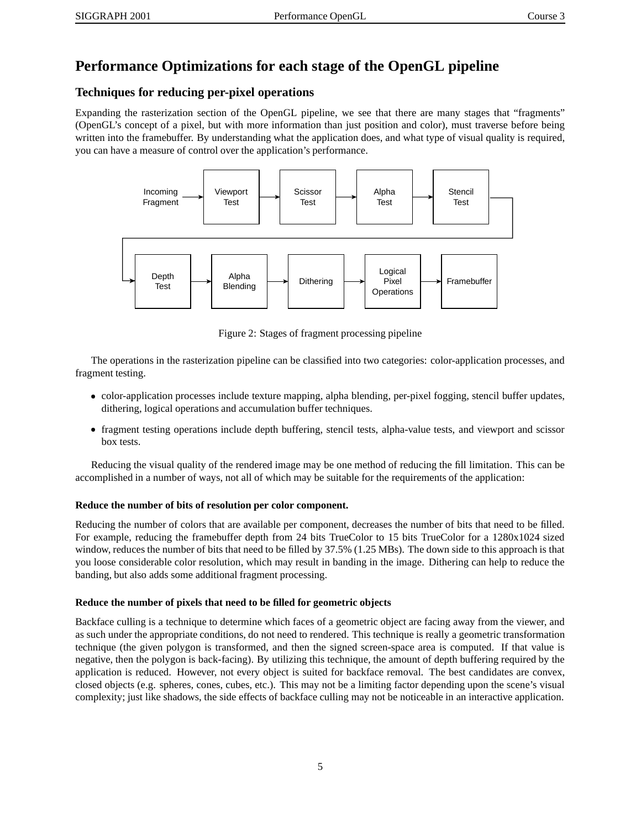## **Performance Optimizations for each stage of the OpenGL pipeline**

## **Techniques for reducing per-pixel operations**

Expanding the rasterization section of the OpenGL pipeline, we see that there are many stages that "fragments" (OpenGL's concept of a pixel, but with more information than just position and color), must traverse before being written into the framebuffer. By understanding what the application does, and what type of visual quality is required, you can have a measure of control over the application's performance.



Figure 2: Stages of fragment processing pipeline

The operations in the rasterization pipeline can be classified into two categories: color-application processes, and fragment testing.

- color-application processes include texture mapping, alpha blending, per-pixel fogging, stencil buffer updates, dithering, logical operations and accumulation buffer techniques.
- fragment testing operations include depth buffering, stencil tests, alpha-value tests, and viewport and scissor box tests.

Reducing the visual quality of the rendered image may be one method of reducing the fill limitation. This can be accomplished in a number of ways, not all of which may be suitable for the requirements of the application:

## **Reduce the number of bits of resolution per color component.**

Reducing the number of colors that are available per component, decreases the number of bits that need to be filled. For example, reducing the framebuffer depth from 24 bits TrueColor to 15 bits TrueColor for a 1280x1024 sized window, reduces the number of bits that need to be filled by 37.5% (1.25 MBs). The down side to this approach is that you loose considerable color resolution, which may result in banding in the image. Dithering can help to reduce the banding, but also adds some additional fragment processing.

## **Reduce the number of pixels that need to be filled for geometric objects**

Backface culling is a technique to determine which faces of a geometric object are facing away from the viewer, and as such under the appropriate conditions, do not need to rendered. This technique is really a geometric transformation technique (the given polygon is transformed, and then the signed screen-space area is computed. If that value is negative, then the polygon is back-facing). By utilizing this technique, the amount of depth buffering required by the application is reduced. However, not every object is suited for backface removal. The best candidates are convex, closed objects (e.g. spheres, cones, cubes, etc.). This may not be a limiting factor depending upon the scene's visual complexity; just like shadows, the side effects of backface culling may not be noticeable in an interactive application.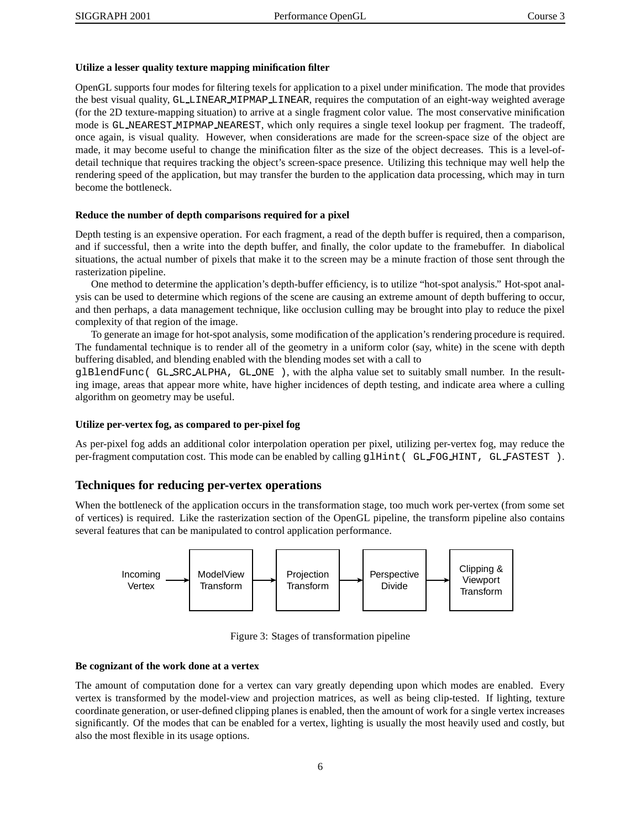#### **Utilize a lesser quality texture mapping minification filter**

OpenGL supports four modes for filtering texels for application to a pixel under minification. The mode that provides the best visual quality, GL LINEAR MIPMAP LINEAR, requires the computation of an eight-way weighted average (for the 2D texture-mapping situation) to arrive at a single fragment color value. The most conservative minification mode is GL NEAREST MIPMAP NEAREST, which only requires a single texel lookup per fragment. The tradeoff, once again, is visual quality. However, when considerations are made for the screen-space size of the object are made, it may become useful to change the minification filter as the size of the object decreases. This is a level-ofdetail technique that requires tracking the object's screen-space presence. Utilizing this technique may well help the rendering speed of the application, but may transfer the burden to the application data processing, which may in turn become the bottleneck.

#### **Reduce the number of depth comparisons required for a pixel**

Depth testing is an expensive operation. For each fragment, a read of the depth buffer is required, then a comparison, and if successful, then a write into the depth buffer, and finally, the color update to the framebuffer. In diabolical situations, the actual number of pixels that make it to the screen may be a minute fraction of those sent through the rasterization pipeline.

One method to determine the application's depth-buffer efficiency, is to utilize "hot-spot analysis." Hot-spot analysis can be used to determine which regions of the scene are causing an extreme amount of depth buffering to occur, and then perhaps, a data management technique, like occlusion culling may be brought into play to reduce the pixel complexity of that region of the image.

To generate an image for hot-spot analysis, some modification of the application's rendering procedure is required. The fundamental technique is to render all of the geometry in a uniform color (say, white) in the scene with depth buffering disabled, and blending enabled with the blending modes set with a call to

glBlendFunc( GL SRC ALPHA, GL ONE ), with the alpha value set to suitably small number. In the resulting image, areas that appear more white, have higher incidences of depth testing, and indicate area where a culling algorithm on geometry may be useful.

#### **Utilize per-vertex fog, as compared to per-pixel fog**

As per-pixel fog adds an additional color interpolation operation per pixel, utilizing per-vertex fog, may reduce the per-fragment computation cost. This mode can be enabled by calling qlHint (GL FOG HINT, GL FASTEST).

#### **Techniques for reducing per-vertex operations**

When the bottleneck of the application occurs in the transformation stage, too much work per-vertex (from some set of vertices) is required. Like the rasterization section of the OpenGL pipeline, the transform pipeline also contains several features that can be manipulated to control application performance.



Figure 3: Stages of transformation pipeline

#### **Be cognizant of the work done at a vertex**

The amount of computation done for a vertex can vary greatly depending upon which modes are enabled. Every vertex is transformed by the model-view and projection matrices, as well as being clip-tested. If lighting, texture coordinate generation, or user-defined clipping planes is enabled, then the amount of work for a single vertex increases significantly. Of the modes that can be enabled for a vertex, lighting is usually the most heavily used and costly, but also the most flexible in its usage options.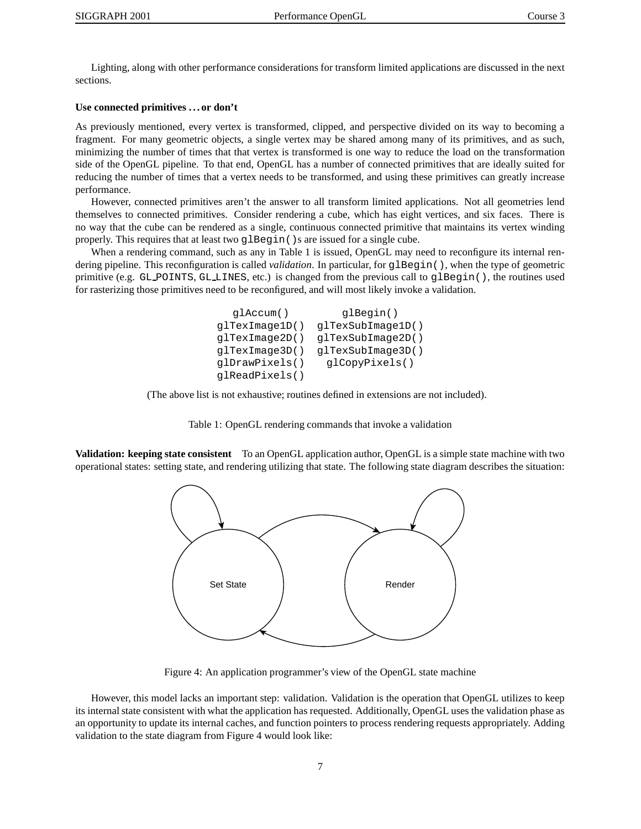Lighting, along with other performance considerations for transform limited applications are discussed in the next sections.

#### **Use connected primitives . . . or don't**

As previously mentioned, every vertex is transformed, clipped, and perspective divided on its way to becoming a fragment. For many geometric objects, a single vertex may be shared among many of its primitives, and as such, minimizing the number of times that that vertex is transformed is one way to reduce the load on the transformation side of the OpenGL pipeline. To that end, OpenGL has a number of connected primitives that are ideally suited for reducing the number of times that a vertex needs to be transformed, and using these primitives can greatly increase performance.

However, connected primitives aren't the answer to all transform limited applications. Not all geometries lend themselves to connected primitives. Consider rendering a cube, which has eight vertices, and six faces. There is no way that the cube can be rendered as a single, continuous connected primitive that maintains its vertex winding properly. This requires that at least two glBegin()s are issued for a single cube.

When a rendering command, such as any in Table 1 is issued, OpenGL may need to reconfigure its internal rendering pipeline. This reconfiguration is called *validation*. In particular, for glBegin(), when the type of geometric primitive (e.g. GL POINTS, GL LINES, etc.) is changed from the previous call to glBegin(), the routines used for rasterizing those primitives need to be reconfigured, and will most likely invoke a validation.

| $q$ l $Accum()$ | qlBeqin()         |
|-----------------|-------------------|
| qITextImage1D() | qlTexSubImage1D() |
| glTexImage2D()  | glTexSubImage2D() |
| qITextImage3D() | glTexSubImage3D() |
| qlDrawPixels()  | glCopyPixels()    |
| qlReadPixels()  |                   |

(The above list is not exhaustive; routines defined in extensions are not included).

Table 1: OpenGL rendering commands that invoke a validation

**Validation: keeping state consistent** To an OpenGL application author, OpenGL is a simple state machine with two operational states: setting state, and rendering utilizing that state. The following state diagram describes the situation:



Figure 4: An application programmer's view of the OpenGL state machine

However, this model lacks an important step: validation. Validation is the operation that OpenGL utilizes to keep its internal state consistent with what the application has requested. Additionally, OpenGL uses the validation phase as an opportunity to update its internal caches, and function pointers to process rendering requests appropriately. Adding validation to the state diagram from Figure 4 would look like: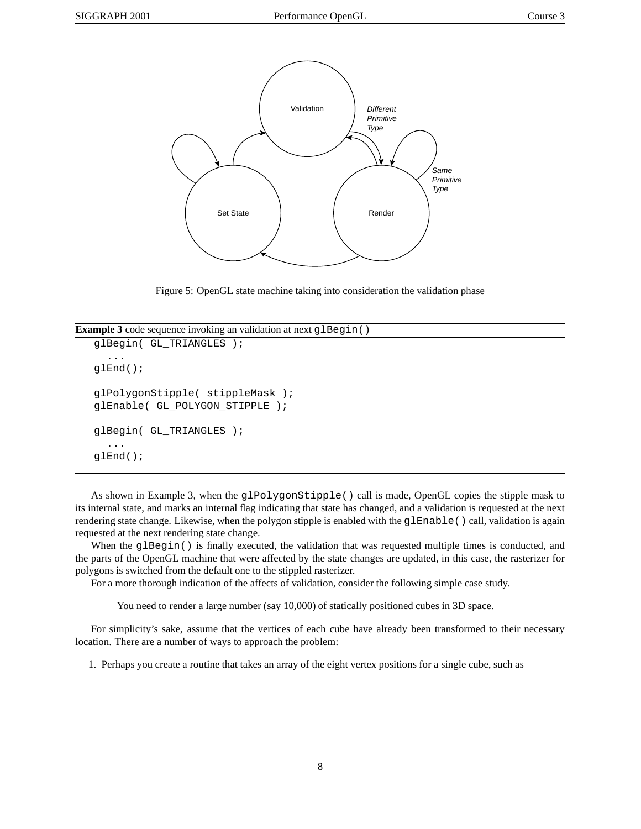

Figure 5: OpenGL state machine taking into consideration the validation phase

**Example 3** code sequence invoking an validation at next glBegin()

```
glBegin( GL_TRIANGLES );
  ...
glEnd();
glPolygonStipple( stippleMask );
glEnable( GL_POLYGON_STIPPLE );
glBegin( GL_TRIANGLES );
  ...
glEnd();
```
As shown in Example 3, when the glPolygonStipple() call is made, OpenGL copies the stipple mask to its internal state, and marks an internal flag indicating that state has changed, and a validation is requested at the next rendering state change. Likewise, when the polygon stipple is enabled with the glEnable() call, validation is again requested at the next rendering state change.

When the glBegin() is finally executed, the validation that was requested multiple times is conducted, and the parts of the OpenGL machine that were affected by the state changes are updated, in this case, the rasterizer for polygons is switched from the default one to the stippled rasterizer.

For a more thorough indication of the affects of validation, consider the following simple case study.

You need to render a large number (say 10,000) of statically positioned cubes in 3D space.

For simplicity's sake, assume that the vertices of each cube have already been transformed to their necessary location. There are a number of ways to approach the problem:

1. Perhaps you create a routine that takes an array of the eight vertex positions for a single cube, such as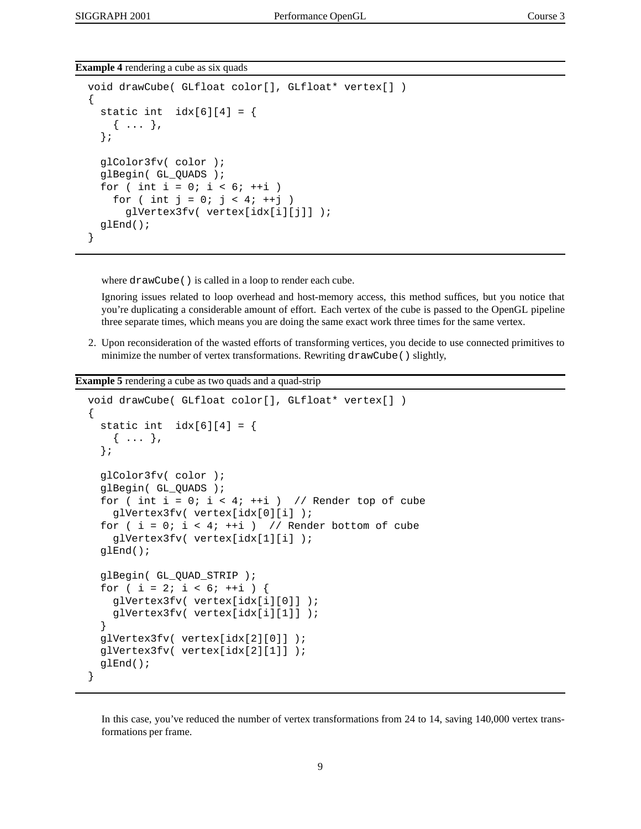**Example 4** rendering a cube as six quads

```
void drawCube( GLfloat color[], GLfloat* vertex[] )
{
  static int idx[6][4] = \{\{ \ldots \},
  };
 glColor3fv( color );
 glBegin( GL_QUADS );
  for ( int i = 0; i < 6; ++i )
    for ( int j = 0; j < 4; ++j )
      glVertex3fv( vertex[idx[i][j]] );
  glEnd();
}
```
where drawCube() is called in a loop to render each cube.

Ignoring issues related to loop overhead and host-memory access, this method suffices, but you notice that you're duplicating a considerable amount of effort. Each vertex of the cube is passed to the OpenGL pipeline three separate times, which means you are doing the same exact work three times for the same vertex.

2. Upon reconsideration of the wasted efforts of transforming vertices, you decide to use connected primitives to minimize the number of vertex transformations. Rewriting drawCube () slightly,

**Example** 5 rendering a cube as two quads and a quad-strip

```
void drawCube( GLfloat color[], GLfloat* vertex[] )
{
  static int idx[6][4] = \{\{ \ldots \},
  };
 glColor3fv( color );
  glBegin( GL_QUADS );
  for ( int i = 0; i < 4; ++i ) // Render top of cube
    glVertex3fv( vertex[idx[0][i] );
  for ( i = 0; i < 4; ++i ) // Render bottom of cube
    glVertex3fv( vertex[idx[1][i] );
 glEnd();
  glBegin( GL_QUAD_STRIP );
  for ( i = 2; i < 6; ++i ) {
    glVertex3fv( vertex[idx[i][0]] );
    glVertex3fv( vertex[idx[i][1]] );
  }
  glVertex3fv( vertex[idx[2][0]] );
  glVertex3fv( vertex[idx[2][1]] );
  glEnd();
}
```
In this case, you've reduced the number of vertex transformations from 24 to 14, saving 140,000 vertex transformations per frame.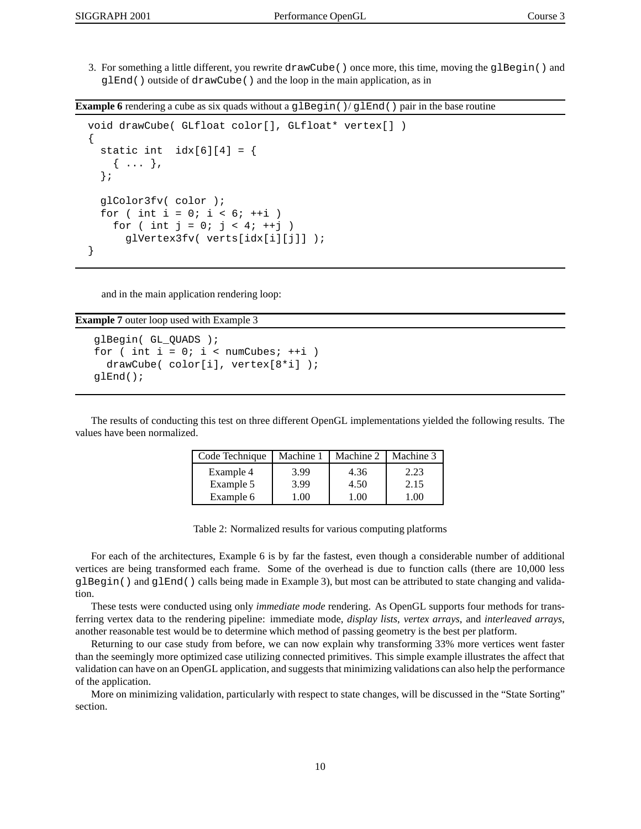- 
- 3. For something a little different, you rewrite drawCube() once more, this time, moving the glBegin() and glEnd() outside of drawCube() and the loop in the main application, as in

**Example 6** rendering a cube as six quads without a glBegin()/glEnd() pair in the base routine

```
void drawCube( GLfloat color[], GLfloat* vertex[] )
{
  static int idx[6][4] = \{\{ \ldots \},
  };
  glColor3fv( color );
  for ( int i = 0; i < 6; ++i )
    for ( int j = 0; j < 4; ++j )
      glVertex3fv( verts[idx[i][j]] );
}
```
and in the main application rendering loop:

**Example** 7 outer loop used with Example 3

```
glBegin( GL_QUADS );
for ( int i = 0; i < numCubes; ++i )
  drawCube( color[i], vertex[8*i] );
glEnd();
```
The results of conducting this test on three different OpenGL implementations yielded the following results. The values have been normalized.

| Code Technique | Machine 1 | Machine 2 | Machine 3 |
|----------------|-----------|-----------|-----------|
| Example 4      | 3.99      | 4.36      | 2.23      |
| Example 5      | 3.99      | 4.50      | 2.15      |
| Example 6      | (0()      | 1.00      | .00       |

Table 2: Normalized results for various computing platforms

For each of the architectures, Example 6 is by far the fastest, even though a considerable number of additional vertices are being transformed each frame. Some of the overhead is due to function calls (there are 10,000 less glBegin() and glEnd() calls being made in Example 3), but most can be attributed to state changing and validation.

These tests were conducted using only *immediate mode* rendering. As OpenGL supports four methods for transferring vertex data to the rendering pipeline: immediate mode, *display lists*, *vertex arrays*, and *interleaved arrays*, another reasonable test would be to determine which method of passing geometry is the best per platform.

Returning to our case study from before, we can now explain why transforming 33% more vertices went faster than the seemingly more optimized case utilizing connected primitives. This simple example illustrates the affect that validation can have on an OpenGL application, and suggests that minimizing validations can also help the performance of the application.

More on minimizing validation, particularly with respect to state changes, will be discussed in the "State Sorting" section.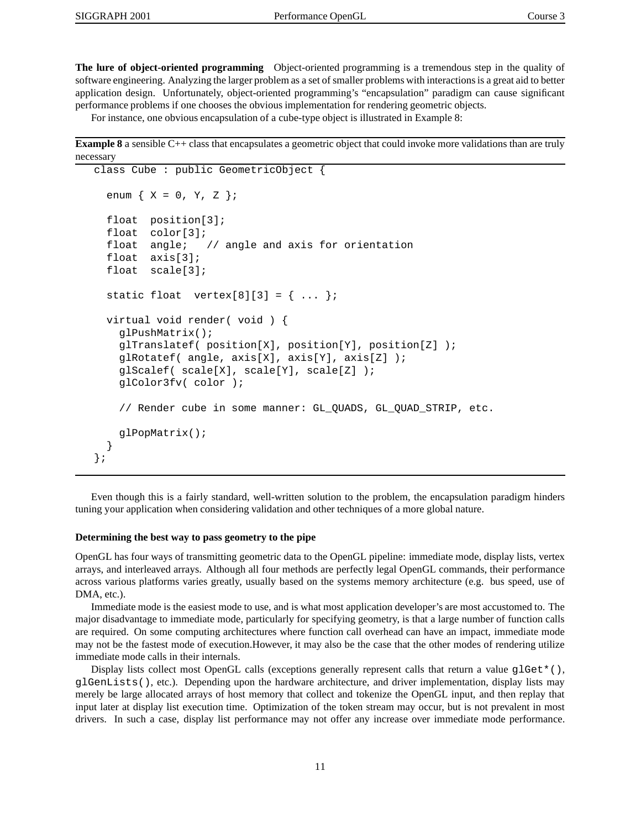**The lure of object-oriented programming** Object-oriented programming is a tremendous step in the quality of software engineering. Analyzing the larger problem as a set of smaller problems with interactionsis a great aid to better application design. Unfortunately, object-oriented programming's "encapsulation" paradigm can cause significant performance problems if one chooses the obvious implementation for rendering geometric objects.

For instance, one obvious encapsulation of a cube-type object is illustrated in Example 8:

**Example 8** a sensible C++ class that encapsulates a geometric object that could invoke more validations than are truly necessary

```
class Cube : public GeometricObject {
  enum \{ X = 0, Y, Z \};
  float position[3];
  float color[3];
  float angle; // angle and axis for orientation
  float axis[3];
  float scale[3];
 static float vertex[8][3] = \{ ... \};
 virtual void render( void ) {
   glPushMatrix();
   glTranslatef( position[X], position[Y], position[Z] );
   glRotatef( angle, axis[X], axis[Y], axis[Z] );
   glScalef( scale[X], scale[Y], scale[Z] );
   glColor3fv( color );
    // Render cube in some manner: GL_QUADS, GL_QUAD_STRIP, etc.
   glPopMatrix();
  }
};
```
Even though this is a fairly standard, well-written solution to the problem, the encapsulation paradigm hinders tuning your application when considering validation and other techniques of a more global nature.

#### **Determining the best way to pass geometry to the pipe**

OpenGL has four ways of transmitting geometric data to the OpenGL pipeline: immediate mode, display lists, vertex arrays, and interleaved arrays. Although all four methods are perfectly legal OpenGL commands, their performance across various platforms varies greatly, usually based on the systems memory architecture (e.g. bus speed, use of DMA, etc.).

Immediate mode is the easiest mode to use, and is what most application developer's are most accustomed to. The major disadvantage to immediate mode, particularly for specifying geometry, is that a large number of function calls are required. On some computing architectures where function call overhead can have an impact, immediate mode may not be the fastest mode of execution.However, it may also be the case that the other modes of rendering utilize immediate mode calls in their internals.

Display lists collect most OpenGL calls (exceptions generally represent calls that return a value  $g1Get*($ ), glGenLists(), etc.). Depending upon the hardware architecture, and driver implementation, display lists may merely be large allocated arrays of host memory that collect and tokenize the OpenGL input, and then replay that input later at display list execution time. Optimization of the token stream may occur, but is not prevalent in most drivers. In such a case, display list performance may not offer any increase over immediate mode performance.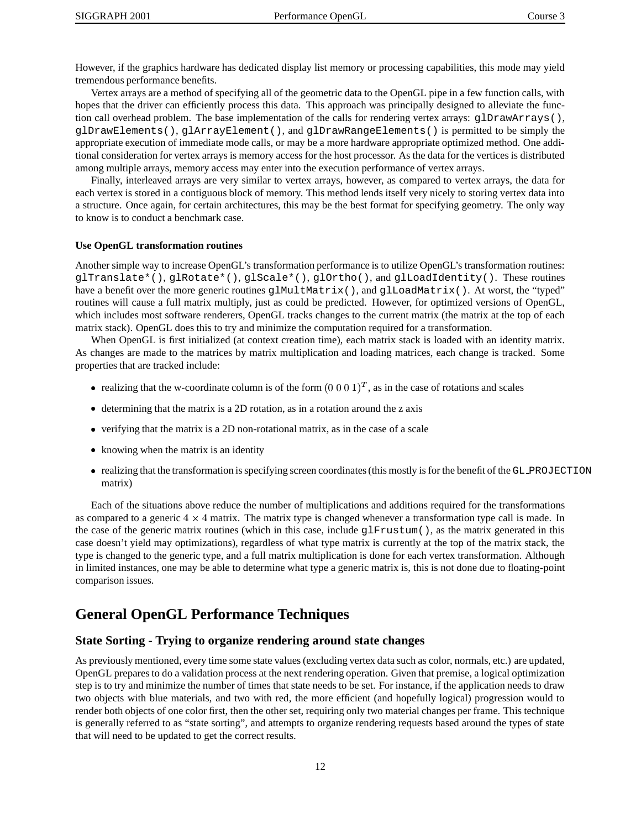However, if the graphics hardware has dedicated display list memory or processing capabilities, this mode may yield tremendous performance benefits.

Vertex arrays are a method of specifying all of the geometric data to the OpenGL pipe in a few function calls, with hopes that the driver can efficiently process this data. This approach was principally designed to alleviate the function call overhead problem. The base implementation of the calls for rendering vertex arrays: glDrawArrays(), glDrawElements(), glArrayElement(), and glDrawRangeElements() is permitted to be simply the appropriate execution of immediate mode calls, or may be a more hardware appropriate optimized method. One additional consideration for vertex arrays is memory access for the host processor. As the data for the vertices is distributed among multiple arrays, memory access may enter into the execution performance of vertex arrays.

Finally, interleaved arrays are very similar to vertex arrays, however, as compared to vertex arrays, the data for each vertex is stored in a contiguous block of memory. This method lends itself very nicely to storing vertex data into a structure. Once again, for certain architectures, this may be the best format for specifying geometry. The only way to know is to conduct a benchmark case.

#### **Use OpenGL transformation routines**

Another simple way to increase OpenGL's transformation performance is to utilize OpenGL's transformation routines: glTranslate\*(), glRotate\*(), glScale\*(), glOrtho(), and glLoadIdentity(). These routines have a benefit over the more generic routines glMultMatrix(), and glLoadMatrix(). At worst, the "typed" routines will cause a full matrix multiply, just as could be predicted. However, for optimized versions of OpenGL, which includes most software renderers, OpenGL tracks changes to the current matrix (the matrix at the top of each matrix stack). OpenGL does this to try and minimize the computation required for a transformation.

When OpenGL is first initialized (at context creation time), each matrix stack is loaded with an identity matrix. As changes are made to the matrices by matrix multiplication and loading matrices, each change is tracked. Some properties that are tracked include:

- realizing that the w-coordinate column is of the form  $(0\ 0\ 0\ 1)^T$ , as in the case of rotations and scales
- determining that the matrix is a 2D rotation, as in a rotation around the z axis
- verifying that the matrix is a 2D non-rotational matrix, as in the case of a scale
- knowing when the matrix is an identity
- realizing that the transformation is specifying screen coordinates (this mostly is for the benefit of the GL\_PROJECTION matrix)

Each of the situations above reduce the number of multiplications and additions required for the transformations as compared to a generic  $4 \times 4$  matrix. The matrix type is changed whenever a transformation type call is made. In the case of the generic matrix routines (which in this case, include glFrustum(), as the matrix generated in this case doesn't yield may optimizations), regardless of what type matrix is currently at the top of the matrix stack, the type is changed to the generic type, and a full matrix multiplication is done for each vertex transformation. Although in limited instances, one may be able to determine what type a generic matrix is, this is not done due to floating-point comparison issues.

## **General OpenGL Performance Techniques**

#### **State Sorting - Trying to organize rendering around state changes**

As previously mentioned, every time some state values (excluding vertex data such as color, normals, etc.) are updated, OpenGL prepares to do a validation process at the next rendering operation. Given that premise, a logical optimization step is to try and minimize the number of times that state needs to be set. For instance, if the application needs to draw two objects with blue materials, and two with red, the more efficient (and hopefully logical) progression would to render both objects of one color first, then the other set, requiring only two material changes per frame. This technique is generally referred to as "state sorting", and attempts to organize rendering requests based around the types of state that will need to be updated to get the correct results.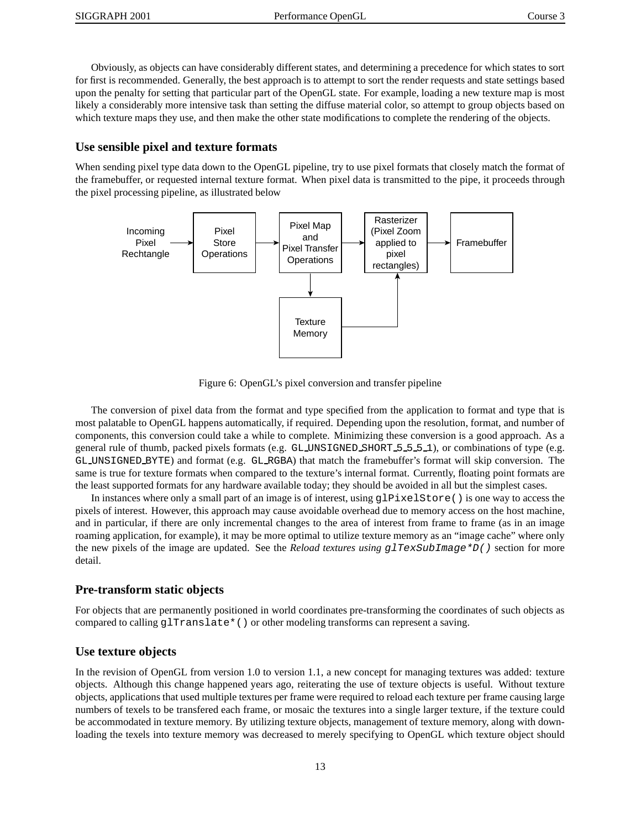Obviously, as objects can have considerably different states, and determining a precedence for which states to sort for first is recommended. Generally, the best approach is to attempt to sort the render requests and state settings based upon the penalty for setting that particular part of the OpenGL state. For example, loading a new texture map is most likely a considerably more intensive task than setting the diffuse material color, so attempt to group objects based on which texture maps they use, and then make the other state modifications to complete the rendering of the objects.

#### **Use sensible pixel and texture formats**

When sending pixel type data down to the OpenGL pipeline, try to use pixel formats that closely match the format of the framebuffer, or requested internal texture format. When pixel data is transmitted to the pipe, it proceeds through the pixel processing pipeline, as illustrated below



Figure 6: OpenGL's pixel conversion and transfer pipeline

The conversion of pixel data from the format and type specified from the application to format and type that is most palatable to OpenGL happens automatically, if required. Depending upon the resolution, format, and number of components, this conversion could take a while to complete. Minimizing these conversion is a good approach. As a general rule of thumb, packed pixels formats (e.g. GL UNSIGNED SHORT 5 5 5 1), or combinations of type (e.g. GL UNSIGNED BYTE) and format (e.g. GL RGBA) that match the framebuffer's format will skip conversion. The same is true for texture formats when compared to the texture's internal format. Currently, floating point formats are the least supported formats for any hardware available today; they should be avoided in all but the simplest cases.

In instances where only a small part of an image is of interest, using glPixelStore() is one way to access the pixels of interest. However, this approach may cause avoidable overhead due to memory access on the host machine, and in particular, if there are only incremental changes to the area of interest from frame to frame (as in an image roaming application, for example), it may be more optimal to utilize texture memory as an "image cache" where only the new pixels of the image are updated. See the *Reload textures using* glTexSubImage\*D() section for more detail.

### **Pre-transform static objects**

For objects that are permanently positioned in world coordinates pre-transforming the coordinates of such objects as compared to calling glTranslate\*() or other modeling transforms can represent a saving.

#### **Use texture objects**

In the revision of OpenGL from version 1.0 to version 1.1, a new concept for managing textures was added: texture objects. Although this change happened years ago, reiterating the use of texture objects is useful. Without texture objects, applications that used multiple textures per frame were required to reload each texture per frame causing large numbers of texels to be transfered each frame, or mosaic the textures into a single larger texture, if the texture could be accommodated in texture memory. By utilizing texture objects, management of texture memory, along with downloading the texels into texture memory was decreased to merely specifying to OpenGL which texture object should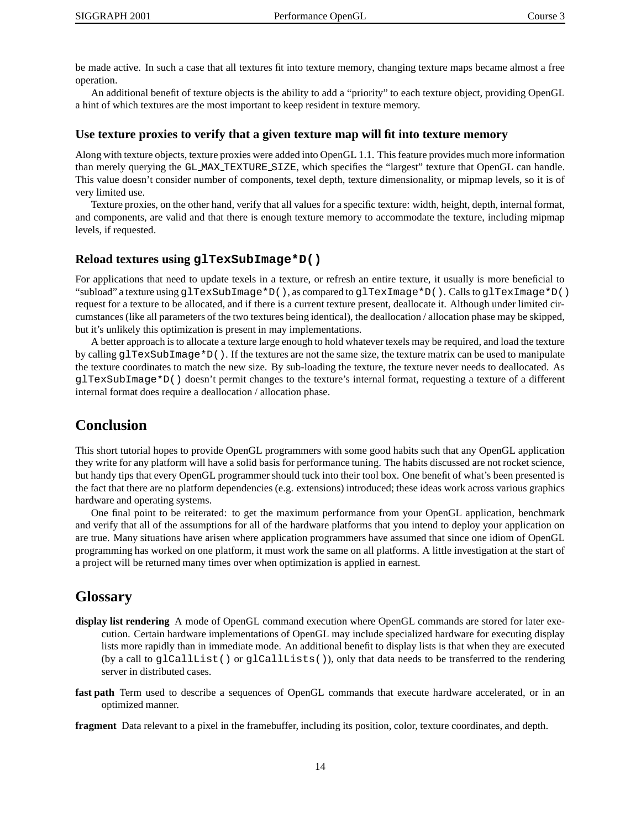be made active. In such a case that all textures fit into texture memory, changing texture maps became almost a free operation.

An additional benefit of texture objects is the ability to add a "priority" to each texture object, providing OpenGL a hint of which textures are the most important to keep resident in texture memory.

#### **Use texture proxies to verify that a given texture map will fit into texture memory**

Along with texture objects, texture proxies were added into OpenGL 1.1. This feature provides much more information than merely querying the GL MAX TEXTURE SIZE, which specifies the "largest" texture that OpenGL can handle. This value doesn't consider number of components, texel depth, texture dimensionality, or mipmap levels, so it is of very limited use.

Texture proxies, on the other hand, verify that all values for a specific texture: width, height, depth, internal format, and components, are valid and that there is enough texture memory to accommodate the texture, including mipmap levels, if requested.

### **Reload textures using glTexSubImage\*D()**

For applications that need to update texels in a texture, or refresh an entire texture, it usually is more beneficial to "subload" a texture using glTexSubImage\*D(), as compared to glTexImage\*D(). Calls to glTexImage\*D() request for a texture to be allocated, and if there is a current texture present, deallocate it. Although under limited circumstances (like all parameters of the two textures being identical), the deallocation / allocation phase may be skipped, but it's unlikely this optimization is present in may implementations.

A better approach is to allocate a texture large enough to hold whatever texels may be required, and load the texture by calling glTexSubImage\*D(). If the textures are not the same size, the texture matrix can be used to manipulate the texture coordinates to match the new size. By sub-loading the texture, the texture never needs to deallocated. As glTexSubImage\*D() doesn't permit changes to the texture's internal format, requesting a texture of a different internal format does require a deallocation / allocation phase.

## **Conclusion**

This short tutorial hopes to provide OpenGL programmers with some good habits such that any OpenGL application they write for any platform will have a solid basis for performance tuning. The habits discussed are not rocket science, but handy tips that every OpenGL programmershould tuck into their tool box. One benefit of what's been presented is the fact that there are no platform dependencies (e.g. extensions) introduced; these ideas work across various graphics hardware and operating systems.

One final point to be reiterated: to get the maximum performance from your OpenGL application, benchmark and verify that all of the assumptions for all of the hardware platforms that you intend to deploy your application on are true. Many situations have arisen where application programmers have assumed that since one idiom of OpenGL programming has worked on one platform, it must work the same on all platforms. A little investigation at the start of a project will be returned many times over when optimization is applied in earnest.

### **Glossary**

- **display list rendering** A mode of OpenGL command execution where OpenGL commands are stored for later execution. Certain hardware implementations of OpenGL may include specialized hardware for executing display lists more rapidly than in immediate mode. An additional benefit to display lists is that when they are executed (by a call to glCallList() or glCallLists()), only that data needs to be transferred to the rendering server in distributed cases.
- **fast path** Term used to describe a sequences of OpenGL commands that execute hardware accelerated, or in an optimized manner.

**fragment** Data relevant to a pixel in the framebuffer, including its position, color, texture coordinates, and depth.